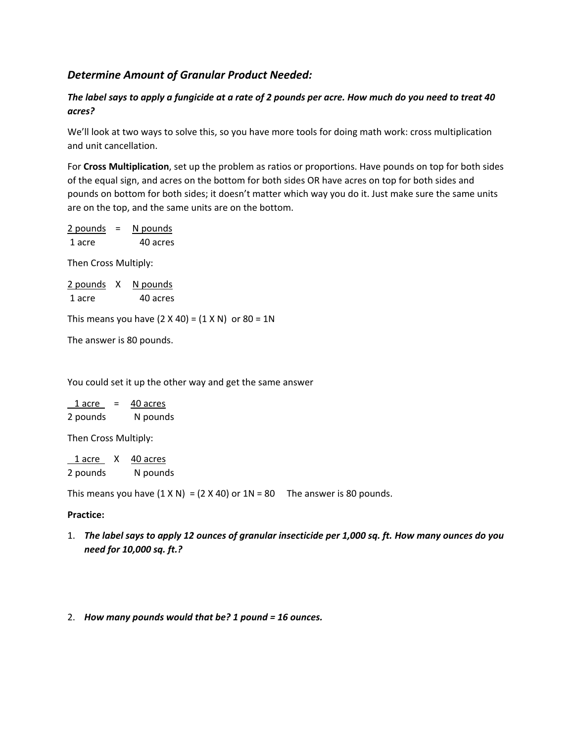# *Determine Amount of Granular Product Needed:*

## *The label says to apply a fungicide at a rate of 2 pounds per acre. How much do you need to treat 40 acres?*

We'll look at two ways to solve this, so you have more tools for doing math work: cross multiplication and unit cancellation.

For **Cross Multiplication**, set up the problem as ratios or proportions. Have pounds on top for both sides of the equal sign, and acres on the bottom for both sides OR have acres on top for both sides and pounds on bottom for both sides; it doesn't matter which way you do it. Just make sure the same units are on the top, and the same units are on the bottom.

2 pounds = N pounds 1 acre 40 acres

Then Cross Multiply:

| 2 pounds | N pounds |
|----------|----------|
| 1 acre   | 40 acres |

This means you have  $(2 \times 40) = (1 \times N)$  or  $80 = 1N$ 

The answer is 80 pounds.

You could set it up the other way and get the same answer

| 1 acre   | = | 40 acres |
|----------|---|----------|
| 2 pounds |   | N pounds |

Then Cross Multiply:

1 acre X 40 acres 2 pounds N pounds

This means you have  $(1 \times N) = (2 \times 40)$  or  $1N = 80$  The answer is 80 pounds.

## **Practice:**

1. *The label says to apply 12 ounces of granular insecticide per 1,000 sq. ft. How many ounces do you need for 10,000 sq. ft.?* 

#### 2. *How many pounds would that be? 1 pound = 16 ounces.*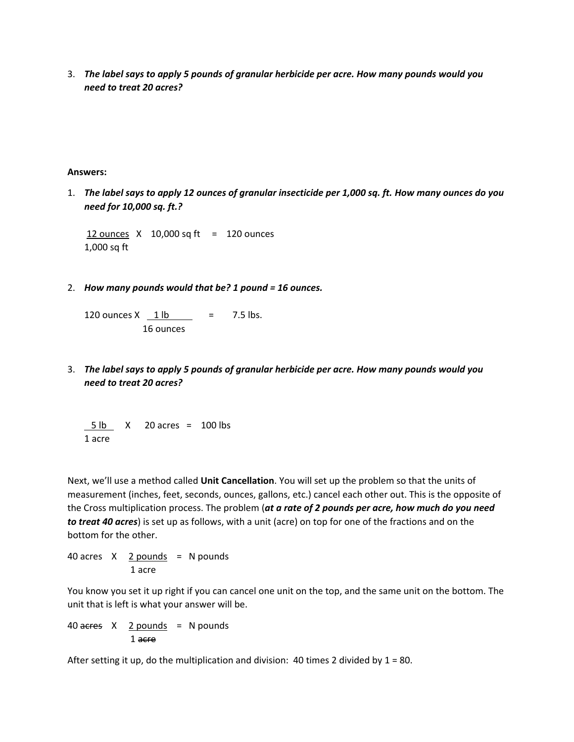3. *The label says to apply 5 pounds of granular herbicide per acre. How many pounds would you need to treat 20 acres?*

#### **Answers:**

1. *The label says to apply 12 ounces of granular insecticide per 1,000 sq. ft. How many ounces do you need for 10,000 sq. ft.?* 

12 ounces  $X$  10,000 sq ft = 120 ounces 1,000 sq ft

2. *How many pounds would that be? 1 pound = 16 ounces.*

120 ounces  $X = 1$  lb  $= 7.5$  lbs. 16 ounces

3. *The label says to apply 5 pounds of granular herbicide per acre. How many pounds would you need to treat 20 acres?*

 5 lb X 20 acres = 100 lbs 1 acre

Next, we'll use a method called **Unit Cancellation**. You will set up the problem so that the units of measurement (inches, feet, seconds, ounces, gallons, etc.) cancel each other out. This is the opposite of the Cross multiplication process. The problem (*at a rate of 2 pounds per acre, how much do you need to treat 40 acres*) is set up as follows, with a unit (acre) on top for one of the fractions and on the bottom for the other.

40 acres  $X$  2 pounds = N pounds 1 acre

You know you set it up right if you can cancel one unit on the top, and the same unit on the bottom. The unit that is left is what your answer will be.

40  $a$  acres  $X$  2 pounds = N pounds 1 acre

After setting it up, do the multiplication and division: 40 times 2 divided by  $1 = 80$ .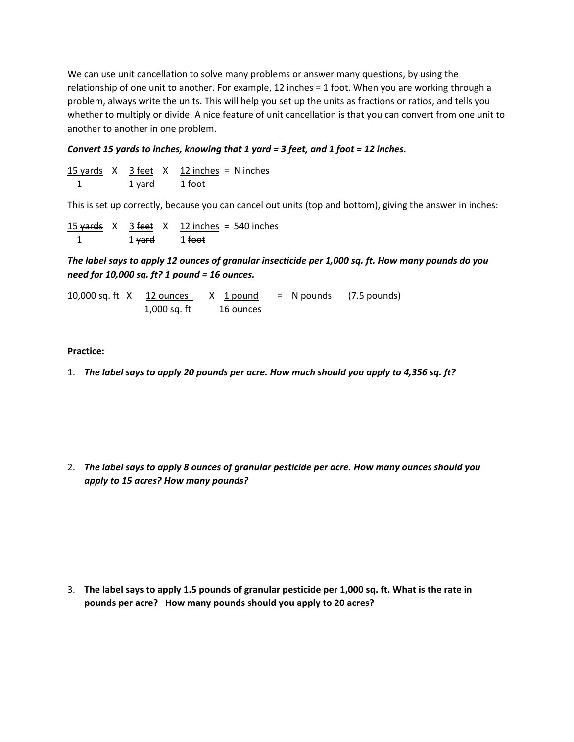We can use unit cancellation to solve many problems or answer many questions, by using the relationship of one unit to another. For example, 12 inches = 1 foot. When you are working through a problem, always write the units. This will help you set up the units as fractions or ratios, and tells you whether to multiply or divide. A nice feature of unit cancellation is that you can convert from one unit to another to another in one problem.

## *Convert 15 yards to inches, knowing that 1 yard = 3 feet, and 1 foot = 12 inches.*

|  |        | 15 yards $X$ 3 feet $X$ 12 inches = N inches |  |
|--|--------|----------------------------------------------|--|
|  | 1 yard | 1 foot                                       |  |

This is set up correctly, because you can cancel out units (top and bottom), giving the answer in inches:

|  |                                     | 15 yards $X = 3$ feet $X = 12$ inches = 540 inches |
|--|-------------------------------------|----------------------------------------------------|
|  | 1 <del>yard</del> 1 <del>foot</del> |                                                    |

*The label says to apply 12 ounces of granular insecticide per 1,000 sq. ft. How many pounds do you need for 10,000 sq. ft? 1 pound = 16 ounces.* 

10,000 sq. ft  $X$  12 ounces  $X$  1 pound = N pounds (7.5 pounds) 1,000 sq. ft 16 ounces

### **Practice:**

1. *The label says to apply 20 pounds per acre. How much should you apply to 4,356 sq. ft?*

2. *The label says to apply 8 ounces of granular pesticide per acre. How many ounces should you apply to 15 acres? How many pounds?*

3. **The label says to apply 1.5 pounds of granular pesticide per 1,000 sq. ft. What is the rate in pounds per acre? How many pounds should you apply to 20 acres?**